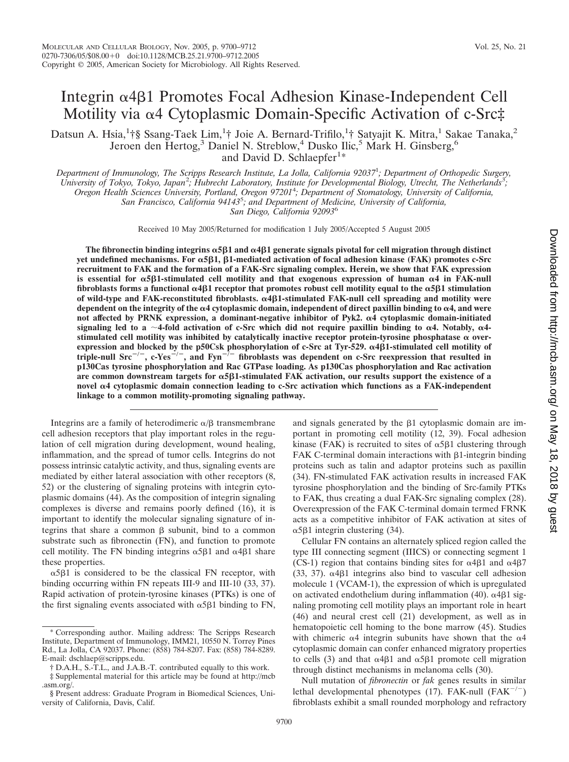# Integrin & 481 Promotes Focal Adhesion Kinase-Independent Cell Motility via  $\alpha$ 4 Cytoplasmic Domain-Specific Activation of c-Src‡

Datsun A. Hsia,<sup>1</sup>†§ Ssang-Taek Lim,<sup>1</sup>† Joie A. Bernard-Trifilo,<sup>1</sup>† Satyajit K. Mitra,<sup>1</sup> Sakae Tanaka,<sup>2</sup> Jeroen den Hertog,<sup>3</sup> Daniel N. Streblow,<sup>4</sup> Dusko Ilic,<sup>5</sup> Mark H. Ginsberg,<sup>6</sup> and David D. Schlaepfer<sup>1\*</sup>

*Department of Immunology, The Scripps Research Institute, La Jolla, California 92037*<sup>1</sup> *; Department of Orthopedic Surgery,* University of Tokyo, Tokyo, Japan<sup>2</sup>; Hubrecht Laboratory, Institute for Developmental Biology, Utrecht, The Netherlands<sup>3</sup>; *Oregon Health Sciences University, Portland, Oregon 97201*<sup>4</sup> *; Department of Stomatology, University of California, San Francisco, California 94143*<sup>5</sup> *; and Department of Medicine, University of California, San Diego, California 92093*<sup>6</sup>

Received 10 May 2005/Returned for modification 1 July 2005/Accepted 5 August 2005

The fibronectin binding integrins  $\alpha$ 5 $\beta$ 1 and  $\alpha$ 4 $\beta$ 1 generate signals pivotal for cell migration through distinct **yet undefined mechanisms. For**  $\alpha$ **5** $\beta$ 1,  $\beta$ 1-mediated activation of focal adhesion kinase (FAK) promotes c-Src **recruitment to FAK and the formation of a FAK-Src signaling complex. Herein, we show that FAK expression** is essential for  $\alpha$ 5 $\beta$ 1-stimulated cell motility and that exogenous expression of human  $\alpha$ 4 in FAK-null fibroblasts forms a functional  $\alpha$ 4 $\beta$ 1 receptor that promotes robust cell motility equal to the  $\alpha$ 5 $\beta$ 1 stimulation of wild-type and FAK-reconstituted fibroblasts.  $\alpha$ 4**ß1-stimulated FAK-null cell spreading and motility were** dependent on the integrity of the  $\alpha$ 4 cytoplasmic domain, independent of direct paxillin binding to  $\alpha$ 4, and were not affected by PRNK expression, a dominant-negative inhibitor of Pyk2.  $\alpha$ 4 cytoplasmic domain-initiated signaling led to a  $\sim$  4-fold activation of c-Src which did not require paxillin binding to  $\alpha$ 4. Notably,  $\alpha$ 4stimulated cell motility was inhibited by catalytically inactive receptor protein-tyrosine phosphatase  $\alpha$  overexpression and blocked by the p50Csk phosphorylation of c-Src at Tyr-529.  $\alpha$ 4 $\beta$ 1-stimulated cell motility of **triple-null Src/, c-Yes/, and Fyn/ fibroblasts was dependent on c-Src reexpression that resulted in p130Cas tyrosine phosphorylation and Rac GTPase loading. As p130Cas phosphorylation and Rac activation** are common downstream targets for  $\alpha$ 5 $\beta$ 1-stimulated FAK activation, our results support the existence of a **novel 4 cytoplasmic domain connection leading to c-Src activation which functions as a FAK-independent linkage to a common motility-promoting signaling pathway.**

Integrins are a family of heterodimeric  $\alpha/\beta$  transmembrane cell adhesion receptors that play important roles in the regulation of cell migration during development, wound healing, inflammation, and the spread of tumor cells. Integrins do not possess intrinsic catalytic activity, and thus, signaling events are mediated by either lateral association with other receptors (8, 52) or the clustering of signaling proteins with integrin cytoplasmic domains (44). As the composition of integrin signaling complexes is diverse and remains poorly defined (16), it is important to identify the molecular signaling signature of integrins that share a common  $\beta$  subunit, bind to a common substrate such as fibronectin (FN), and function to promote cell motility. The FN binding integrins  $\alpha$ 5 $\beta$ 1 and  $\alpha$ 4 $\beta$ 1 share these properties.

 $\alpha$ 5 $\beta$ 1 is considered to be the classical FN receptor, with binding occurring within FN repeats III-9 and III-10 (33, 37). Rapid activation of protein-tyrosine kinases (PTKs) is one of the first signaling events associated with  $\alpha$ 5 $\beta$ 1 binding to FN,

and signals generated by the  $\beta$ 1 cytoplasmic domain are important in promoting cell motility (12, 39). Focal adhesion kinase (FAK) is recruited to sites of  $\alpha$ 5 $\beta$ 1 clustering through FAK C-terminal domain interactions with  $\beta$ 1-integrin binding proteins such as talin and adaptor proteins such as paxillin (34). FN-stimulated FAK activation results in increased FAK tyrosine phosphorylation and the binding of Src-family PTKs to FAK, thus creating a dual FAK-Src signaling complex (28). Overexpression of the FAK C-terminal domain termed FRNK acts as a competitive inhibitor of FAK activation at sites of  $\alpha$ 5 $\beta$ 1 integrin clustering (34).

Cellular FN contains an alternately spliced region called the type III connecting segment (IIICS) or connecting segment 1 (CS-1) region that contains binding sites for  $\alpha$ 4 $\beta$ 1 and  $\alpha$ 4 $\beta$ 7  $(33, 37)$ .  $\alpha$ 4 $\beta$ 1 integrins also bind to vascular cell adhesion molecule 1 (VCAM-1), the expression of which is upregulated on activated endothelium during inflammation (40).  $\alpha$ 4 $\beta$ 1 signaling promoting cell motility plays an important role in heart (46) and neural crest cell (21) development, as well as in hematopoietic cell homing to the bone marrow (45). Studies with chimeric  $\alpha$ 4 integrin subunits have shown that the  $\alpha$ 4 cytoplasmic domain can confer enhanced migratory properties to cells (3) and that  $\alpha$ 4 $\beta$ 1 and  $\alpha$ 5 $\beta$ 1 promote cell migration through distinct mechanisms in melanoma cells (30).

Null mutation of *fibronectin* or *fak* genes results in similar lethal developmental phenotypes (17). FAK-null  $(FAK^{-/-})$ fibroblasts exhibit a small rounded morphology and refractory

<sup>\*</sup> Corresponding author. Mailing address: The Scripps Research Institute, Department of Immunology, IMM21, 10550 N. Torrey Pines Rd., La Jolla, CA 92037. Phone: (858) 784-8207. Fax: (858) 784-8289. E-mail: dschlaep@scripps.edu.

<sup>†</sup> D.A.H., S.-T.L., and J.A.B.-T. contributed equally to this work.

<sup>‡</sup> Supplemental material for this article may be found at http://mcb .asm.org/.

<sup>§</sup> Present address: Graduate Program in Biomedical Sciences, University of California, Davis, Calif.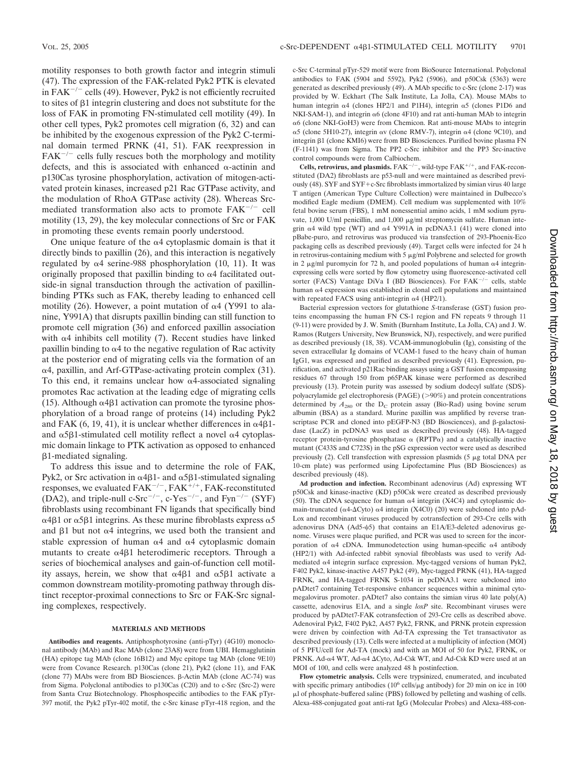motility responses to both growth factor and integrin stimuli (47). The expression of the FAK-related Pyk2 PTK is elevated in  $FAK^{-/-}$  cells (49). However, Pyk2 is not efficiently recruited to sites of  $\beta$ 1 integrin clustering and does not substitute for the loss of FAK in promoting FN-stimulated cell motility (49). In other cell types, Pyk2 promotes cell migration (6, 32) and can be inhibited by the exogenous expression of the Pyk2 C-terminal domain termed PRNK (41, 51). FAK reexpression in  $FAK^{-/-}$  cells fully rescues both the morphology and motility defects, and this is associated with enhanced  $\alpha$ -actinin and p130Cas tyrosine phosphorylation, activation of mitogen-activated protein kinases, increased p21 Rac GTPase activity, and the modulation of RhoA GTPase activity (28). Whereas Srcmediated transformation also acts to promote  $FAK^{-/-}$  cell motility (13, 29), the key molecular connections of Src or FAK in promoting these events remain poorly understood.

One unique feature of the  $\alpha$ 4 cytoplasmic domain is that it directly binds to paxillin (26), and this interaction is negatively regulated by  $\alpha$ 4 serine-988 phosphorylation (10, 11). It was originally proposed that paxillin binding to  $\alpha$ 4 facilitated outside-in signal transduction through the activation of paxillinbinding PTKs such as FAK, thereby leading to enhanced cell motility (26). However, a point mutation of  $\alpha$ 4 (Y991 to alanine, Y991A) that disrupts paxillin binding can still function to promote cell migration (36) and enforced paxillin association with  $\alpha$ 4 inhibits cell motility (7). Recent studies have linked paxillin binding to  $\alpha$ 4 to the negative regulation of Rac activity at the posterior end of migrating cells via the formation of an α4, paxillin, and Arf-GTPase-activating protein complex (31). To this end, it remains unclear how  $\alpha$ 4-associated signaling promotes Rac activation at the leading edge of migrating cells (15). Although  $\alpha$ 4 $\beta$ 1 activation can promote the tyrosine phosphorylation of a broad range of proteins (14) including Pyk2 and FAK  $(6, 19, 41)$ , it is unclear whether differences in  $\alpha$ 4 $\beta$ 1and  $\alpha$ 5 $\beta$ 1-stimulated cell motility reflect a novel  $\alpha$ 4 cytoplasmic domain linkage to PTK activation as opposed to enhanced  $\beta$ 1-mediated signaling.

To address this issue and to determine the role of FAK, Pyk2, or Src activation in  $\alpha$ 4 $\beta$ 1- and  $\alpha$ 5 $\beta$ 1-stimulated signaling responses, we evaluated  $FAK^{-/-}$ ,  $FAK^{+/+}$ ,  $FAK$ -reconstituted (DA2), and triple-null c-Src<sup>-/-</sup>, c-Yes<sup>-/-</sup>, and Fyn<sup>-/-</sup> (SYF) fibroblasts using recombinant FN ligands that specifically bind  $\alpha$ 4 $\beta$ 1 or  $\alpha$ 5 $\beta$ 1 integrins. As these murine fibroblasts express  $\alpha$ 5 and  $\beta$ 1 but not  $\alpha$ 4 integrins, we used both the transient and stable expression of human  $\alpha$ 4 and  $\alpha$ 4 cytoplasmic domain mutants to create  $\alpha$ 4 $\beta$ 1 heterodimeric receptors. Through a series of biochemical analyses and gain-of-function cell motility assays, herein, we show that  $\alpha$ 4 $\beta$ 1 and  $\alpha$ 5 $\beta$ 1 activate a common downstream motility-promoting pathway through distinct receptor-proximal connections to Src or FAK-Src signaling complexes, respectively.

## **MATERIALS AND METHODS**

**Antibodies and reagents.** Antiphosphotyrosine (anti-pTyr) (4G10) monoclonal antibody (MAb) and Rac MAb (clone 23A8) were from UBI. Hemagglutinin (HA) epitope tag MAb (clone 16B12) and Myc epitope tag MAb (clone 9E10) were from Covance Research. p130Cas (clone 21), Pyk2 (clone 11), and FAK (clone 77) MAbs were from BD Biosciences.  $\beta$ -Actin MAb (clone AC-74) was from Sigma. Polyclonal antibodies to p130Cas (C20) and to c-Src (Src-2) were from Santa Cruz Biotechnology. Phosphospecific antibodies to the FAK pTyr-397 motif, the Pyk2 pTyr-402 motif, the c-Src kinase pTyr-418 region, and the

c-Src C-terminal pTyr-529 motif were from BioSource International. Polyclonal antibodies to FAK (5904 and 5592), Pyk2 (5906), and p50Csk (5363) were generated as described previously (49). A MAb specific to c-Src (clone 2-17) was provided by W. Eckhart (The Salk Institute, La Jolla, CA). Mouse MAbs to human integrin  $\alpha$ 4 (clones HP2/1 and P1H4), integrin  $\alpha$ 5 (clones P1D6 and NKI-SAM-1), and integrin  $\alpha$ 6 (clone 4F10) and rat anti-human MAb to integrin α6 (clone NKI-GoH3) were from Chemicon. Rat anti-mouse MAbs to integrin  $\alpha$ 5 (clone 5H10-27), integrin  $\alpha$ v (clone RMV-7), integrin  $\alpha$ 4 (clone 9C10), and integrin 61 (clone KMI6) were from BD Biosciences. Purified bovine plasma FN (F-1141) was from Sigma. The PP2 c-Src inhibitor and the PP3 Src-inactive control compounds were from Calbiochem.

**Cells, retrovirus, and plasmids.**  $FAK^{-/-}$ , wild-type  $FAK^{+/+}$ , and  $FAK$ -reconstituted (DA2) fibroblasts are p53-null and were maintained as described previously (48). SYF and SYF+c-Src fibroblasts immortalized by simian virus 40 large T antigen (American Type Culture Collection) were maintained in Dulbecco's modified Eagle medium (DMEM). Cell medium was supplemented with 10% fetal bovine serum (FBS), 1 mM nonessential amino acids, 1 mM sodium pyruvate, 1,000 U/ml penicillin, and 1,000  $\mu$ g/ml streptomycin sulfate. Human integrin  $\alpha$ 4 wild type (WT) and  $\alpha$ 4 Y991A in pcDNA3.1 (41) were cloned into pBabe-puro, and retrovirus was produced via transfection of 293-Phoenix-Eco packaging cells as described previously (49). Target cells were infected for 24 h in retrovirus-containing medium with  $5 \mu g/ml$  Polybrene and selected for growth in 2  $\mu$ g/ml puromycin for 72 h, and pooled populations of human  $\alpha$ 4 integrinexpressing cells were sorted by flow cytometry using fluorescence-activated cell sorter (FACS) Vantage DiVa I (BD Biosciences). For FAK<sup>-/-</sup> cells, stable human  $\alpha$ 4 expression was established in clonal cell populations and maintained with repeated FACS using anti-integrin  $\alpha$ 4 (HP2/1).

Bacterial expression vectors for glutathione *S*-transferase (GST) fusion proteins encompassing the human FN CS-1 region and FN repeats 9 through 11 (9-11) were provided by J. W. Smith (Burnham Institute, La Jolla, CA) and J. W. Ramos (Rutgers University, New Brunswick, NJ), respectively, and were purified as described previously (18, 38). VCAM-immunoglobulin (Ig), consisting of the seven extracellular Ig domains of VCAM-1 fused to the heavy chain of human IgG1, was expressed and purified as described previously (41). Expression, purification, and activated p21Rac binding assays using a GST fusion encompassing residues 67 through 150 from p65PAK kinase were performed as described previously (13). Protein purity was assessed by sodium dodecyl sulfate (SDS) polyacrylamide gel electrophoresis (PAGE) (>90%) and protein concentrations determined by  $A_{280}$  or the  $D_C$  protein assay (Bio-Rad) using bovine serum albumin (BSA) as a standard. Murine paxillin was amplified by reverse transcriptase PCR and cloned into  $pEGFP- N3$  (BD Biosciences), and  $\beta$ -galactosidase (LacZ) in pcDNA3 was used as described previously (48). HA-tagged receptor protein-tyrosine phosphatase  $\alpha$  (RPTP $\alpha$ ) and a catalytically inactive mutant (C433S and C723S) in the pSG expression vector were used as described previously  $(2)$ . Cell transfection with expression plasmids  $(5 \mu g)$  total DNA per 10-cm plate) was performed using Lipofectamine Plus (BD Biosciences) as described previously (48).

**Ad production and infection.** Recombinant adenovirus (Ad) expressing WT p50Csk and kinase-inactive (KD) p50Csk were created as described previously (50). The cDNA sequence for human  $\alpha$ 4 integrin (X4C4) and cytoplasmic domain-truncated ( $\alpha$ 4- $\Delta$ Cyto)  $\alpha$ 4 integrin (X4C0) (20) were subcloned into pAd-Lox and recombinant viruses produced by cotransfection of 293-Cre cells with adenovirus DNA (Ad5- $\psi$ 5) that contains an E1A/E3-deleted adenovirus genome. Viruses were plaque purified, and PCR was used to screen for the incorporation of  $\alpha$ 4 cDNA. Immunodetection using human-specific  $\alpha$ 4 antibody (HP2/1) with Ad-infected rabbit synovial fibroblasts was used to verify Admediated  $\alpha$ 4 integrin surface expression. Myc-tagged versions of human Pyk2, F402 Pyk2, kinase-inactive A457 Pyk2 (49), Myc-tagged PRNK (41), HA-tagged FRNK, and HA-tagged FRNK S-1034 in pcDNA3.1 were subcloned into pADtet7 containing Tet-responsive enhancer sequences within a minimal cytomegalovirus promoter. pADtet7 also contains the simian virus 40 late poly(A) cassette, adenovirus E1A, and a single *loxP* site. Recombinant viruses were produced by pADtet7-FAK cotransfection of 293-Cre cells as described above. Adenoviral Pyk2, F402 Pyk2, A457 Pyk2, FRNK, and PRNK protein expression were driven by coinfection with Ad-TA expressing the Tet transactivator as described previously (13). Cells were infected at a multiplicity of infection (MOI) of 5 PFU/cell for Ad-TA (mock) and with an MOI of 50 for Pyk2, FRNK, or PRNK. Ad-α4 WT, Ad-α4 ΔCyto, Ad-Csk WT, and Ad-Csk KD were used at an MOI of 100, and cells were analyzed 48 h postinfection.

**Flow cytometric analysis.** Cells were trypsinized, enumerated, and incubated with specific primary antibodies  $(10^6 \text{ cells/}\mu\text{g}$  antibody) for 20 min on ice in 100 l of phosphate-buffered saline (PBS) followed by pelleting and washing of cells. Alexa-488-conjugated goat anti-rat IgG (Molecular Probes) and Alexa-488-con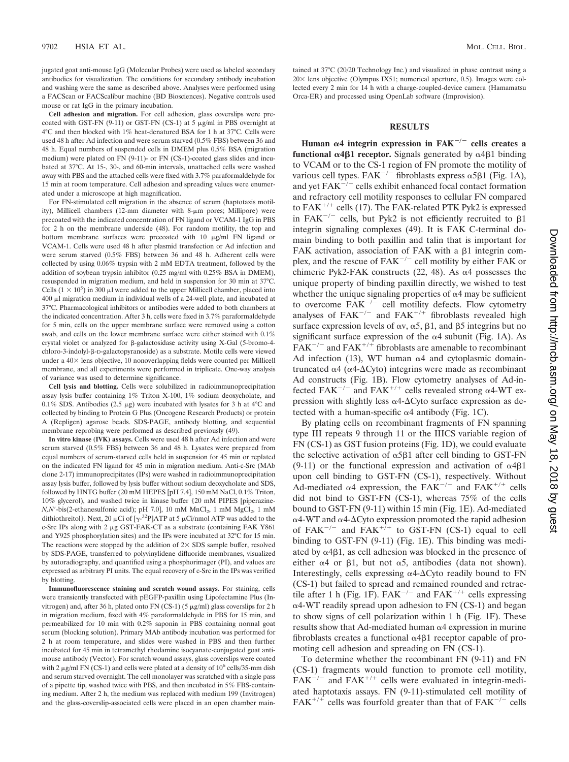jugated goat anti-mouse IgG (Molecular Probes) were used as labeled secondary antibodies for visualization. The conditions for secondary antibody incubation and washing were the same as described above. Analyses were performed using a FACScan or FACScalibur machine (BD Biosciences). Negative controls used mouse or rat IgG in the primary incubation.

**Cell adhesion and migration.** For cell adhesion, glass coverslips were precoated with GST-FN (9-11) or GST-FN (CS-1) at 5  $\mu$ g/ml in PBS overnight at 4°C and then blocked with 1% heat-denatured BSA for 1 h at 37°C. Cells were used 48 h after Ad infection and were serum starved (0.5% FBS) between 36 and 48 h. Equal numbers of suspended cells in DMEM plus 0.5% BSA (migration medium) were plated on FN (9-11)- or FN (CS-1)-coated glass slides and incubated at 37°C. At 15-, 30-, and 60-min intervals, unattached cells were washed away with PBS and the attached cells were fixed with 3.7% paraformaldehyde for 15 min at room temperature. Cell adhesion and spreading values were enumerated under a microscope at high magnification.

For FN-stimulated cell migration in the absence of serum (haptotaxis motility), Millicell chambers (12-mm diameter with 8-µm pores; Millipore) were precoated with the indicated concentration of FN ligand or VCAM-1 IgG in PBS for 2 h on the membrane underside (48). For random motility, the top and bottom membrane surfaces were precoated with 10  $\mu$ g/ml FN ligand or VCAM-1. Cells were used 48 h after plasmid transfection or Ad infection and were serum starved (0.5% FBS) between 36 and 48 h. Adherent cells were collected by using 0.06% trypsin with 2 mM EDTA treatment, followed by the addition of soybean trypsin inhibitor (0.25 mg/ml with 0.25% BSA in DMEM), resuspended in migration medium, and held in suspension for 30 min at 37°C. Cells  $(1 \times 10^5)$  in 300 µl were added to the upper Millicell chamber, placed into  $400$   $\mu$ l migration medium in individual wells of a 24-well plate, and incubated at 37°C. Pharmacological inhibitors or antibodies were added to both chambers at the indicated concentration. After 3 h, cells were fixed in 3.7% paraformaldehyde for 5 min, cells on the upper membrane surface were removed using a cotton swab, and cells on the lower membrane surface were either stained with 0.1% crystal violet or analyzed for  $\beta$ -galactosidase activity using X-Gal (5-bromo-4chloro-3-indolyl-ß-D-galactopyranoside) as a substrate. Motile cells were viewed under a 40× lens objective, 10 nonoverlapping fields were counted per Millicell membrane, and all experiments were performed in triplicate. One-way analysis of variance was used to determine significance.

**Cell lysis and blotting.** Cells were solubilized in radioimmunoprecipitation assay lysis buffer containing 1% Triton X-100, 1% sodium deoxycholate, and 0.1% SDS. Antibodies (2.5  $\mu$ g) were incubated with lysates for 3 h at 4°C and collected by binding to Protein G Plus (Oncogene Research Products) or protein A (Repligen) agarose beads. SDS-PAGE, antibody blotting, and sequential membrane reprobing were performed as described previously (49).

**In vitro kinase (IVK) assays.** Cells were used 48 h after Ad infection and were serum starved (0.5% FBS) between 36 and 48 h. Lysates were prepared from equal numbers of serum-starved cells held in suspension for 45 min or replated on the indicated FN ligand for 45 min in migration medium. Anti-c-Src (MAb clone 2-17) immunoprecipitates (IPs) were washed in radioimmunoprecipitation assay lysis buffer, followed by lysis buffer without sodium deoxycholate and SDS, followed by HNTG buffer (20 mM HEPES [pH 7.4], 150 mM NaCl, 0.1% Triton, 10% glycerol), and washed twice in kinase buffer {20 mM PIPES [piperazine- $N, N'$ -bis(2-ethanesulfonic acid); pH 7.0], 10 mM  $MnCl<sub>2</sub>$ , 1 mM  $MgCl<sub>2</sub>$ , 1 mM dithiothreitol}. Next, 20  $\mu$ Ci of [ $\gamma$ -<sup>32</sup>P]ATP at 5  $\mu$ Ci/nmol ATP was added to the c-Src IPs along with 2 µg GST-FAK-CT as a substrate (containing FAK Y861 and Y925 phosphorylation sites) and the IPs were incubated at 32°C for 15 min. The reactions were stopped by the addition of  $2 \times$  SDS sample buffer, resolved by SDS-PAGE, transferred to polyvinylidene difluoride membranes, visualized by autoradiography, and quantified using a phosphorimager (PI), and values are expressed as arbitrary PI units. The equal recovery of c-Src in the IPs was verified by blotting.

**Immunofluorescence staining and scratch wound assays.** For staining, cells were transiently transfected with pEGFP-paxillin using Lipofectamine Plus (Invitrogen) and, after 36 h, plated onto FN (CS-1) (5  $\mu$ g/ml) glass coverslips for 2 h in migration medium, fixed with 4% paraformaldehyde in PBS for 15 min, and permeabilized for 10 min with 0.2% saponin in PBS containing normal goat serum (blocking solution). Primary MAb antibody incubation was performed for 2 h at room temperature, and slides were washed in PBS and then further incubated for 45 min in tetramethyl rhodamine isocyanate-conjugated goat antimouse antibody (Vector). For scratch wound assays, glass coverslips were coated with 2  $\mu$ g/ml FN (CS-1) and cells were plated at a density of 10<sup>6</sup> cells/35-mm dish and serum starved overnight. The cell monolayer was scratched with a single pass of a pipette tip, washed twice with PBS, and then incubated in 5% FBS-containing medium. After 2 h, the medium was replaced with medium 199 (Invitrogen) and the glass-coverslip-associated cells were placed in an open chamber maintained at 37°C (20/20 Technology Inc.) and visualized in phase contrast using a 20 × lens objective (Olympus IX51; numerical aperture, 0.5). Images were collected every 2 min for 14 h with a charge-coupled-device camera (Hamamatsu Orca-ER) and processed using OpenLab software (Improvision).

## **RESULTS**

**Human**  $\alpha$ 4 integrin expression in FAK<sup> $-/-$ </sup> cells creates a **functional**  $\alpha$ **4** $\beta$ **1 receptor.** Signals generated by  $\alpha$ 4 $\beta$ 1 binding to VCAM or to the CS-1 region of FN promote the motility of various cell types.  $FAK^{-/-}$  fibroblasts express  $\alpha 5\beta 1$  (Fig. 1A), and yet  $FAK^{-/-}$  cells exhibit enhanced focal contact formation and refractory cell motility responses to cellular FN compared to FAK<sup>+/+</sup> cells (17). The FAK-related PTK Pyk2 is expressed in FAK<sup> $-/-$ </sup> cells, but Pyk2 is not efficiently recruited to  $\beta$ 1 integrin signaling complexes (49). It is FAK C-terminal domain binding to both paxillin and talin that is important for FAK activation, association of FAK with a  $\beta$ 1 integrin complex, and the rescue of  $FAK^{-/-}$  cell motility by either FAK or chimeric Pyk2-FAK constructs (22, 48). As  $\alpha$ 4 possesses the unique property of binding paxillin directly, we wished to test whether the unique signaling properties of  $\alpha$ 4 may be sufficient to overcome  $FAK^{-/-}$  cell motility defects. Flow cytometry analyses of  $FAK^{-/-}$  and  $FAK^{+/+}$  fibroblasts revealed high surface expression levels of  $\alpha v$ ,  $\alpha 5$ ,  $\beta 1$ , and  $\beta 5$  integrins but no significant surface expression of the  $\alpha$ 4 subunit (Fig. 1A). As  $FAK^{-/-}$  and  $FAK^{+/+}$  fibroblasts are amenable to recombinant Ad infection (13), WT human  $\alpha$ 4 and cytoplasmic domaintruncated  $\alpha$ 4 ( $\alpha$ 4- $\Delta$ Cyto) integrins were made as recombinant Ad constructs (Fig. 1B). Flow cytometry analyses of Ad-infected FAK<sup>-/-</sup> and FAK<sup>+/+</sup> cells revealed strong  $\alpha$ 4-WT expression with slightly less  $\alpha$ 4- $\Delta$ Cyto surface expression as detected with a human-specific  $\alpha$ 4 antibody (Fig. 1C).

By plating cells on recombinant fragments of FN spanning type III repeats 9 through 11 or the IIICS variable region of FN (CS-1) as GST fusion proteins (Fig. 1D), we could evaluate the selective activation of  $\alpha$ 5 $\beta$ 1 after cell binding to GST-FN (9-11) or the functional expression and activation of  $\alpha$ 4 $\beta$ 1 upon cell binding to GST-FN (CS-1), respectively. Without Ad-mediated  $\alpha$ 4 expression, the FAK<sup>-/-</sup> and FAK<sup>+/+</sup> cells did not bind to GST-FN (CS-1), whereas 75% of the cells bound to GST-FN (9-11) within 15 min (Fig. 1E). Ad-mediated  $\alpha$ 4-WT and  $\alpha$ 4- $\Delta$ Cyto expression promoted the rapid adhesion of  $FAK^{-/-}$  and  $FAK^{+/+}$  to GST-FN (CS-1) equal to cell binding to GST-FN (9-11) (Fig. 1E). This binding was mediated by  $\alpha$ 4 $\beta$ 1, as cell adhesion was blocked in the presence of either  $\alpha$ 4 or  $\beta$ 1, but not  $\alpha$ 5, antibodies (data not shown). Interestingly, cells expressing  $\alpha$ 4- $\Delta$ Cyto readily bound to FN (CS-1) but failed to spread and remained rounded and retractile after 1 h (Fig. 1F). FAK<sup> $-/-$ </sup> and FAK<sup> $+/+$ </sup> cells expressing α4-WT readily spread upon adhesion to FN (CS-1) and began to show signs of cell polarization within 1 h (Fig. 1F). These results show that Ad-mediated human  $\alpha$ 4 expression in murine fibroblasts creates a functional  $\alpha$ 4 $\beta$ 1 receptor capable of promoting cell adhesion and spreading on FN (CS-1).

To determine whether the recombinant FN (9-11) and FN (CS-1) fragments would function to promote cell motility,  $FAK^{-/-}$  and  $FAK^{+/+}$  cells were evaluated in integrin-mediated haptotaxis assays. FN (9-11)-stimulated cell motility of  $FAK^{+/+}$  cells was fourfold greater than that of  $FAK^{-/-}$  cells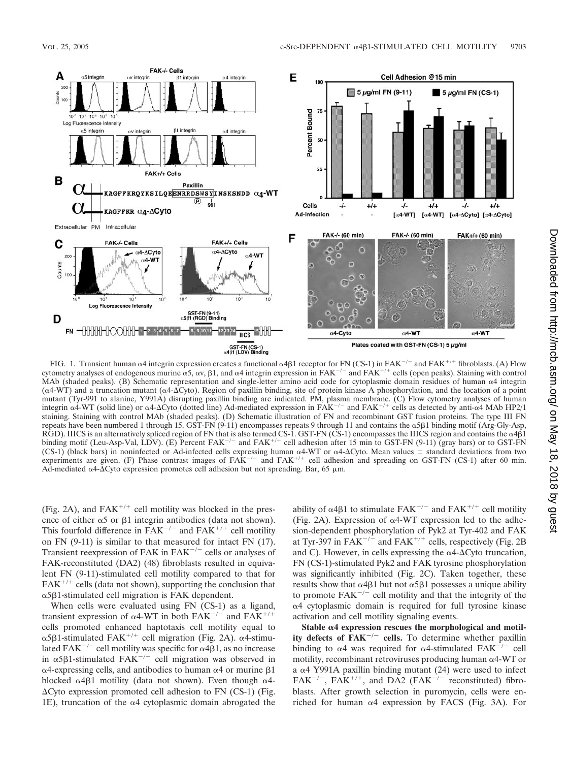

FIG. 1. Transient human  $\alpha$ 4 integrin expression creates a functional  $\alpha$ 4 $\beta$ 1 receptor for FN (CS-1) in FAK<sup>-/-</sup> and FAK<sup>+/+</sup> fibroblasts. (A) Flow cytometry analyses of endogenous murine  $\alpha$ 5,  $\alpha$ v,  $\beta$ 1, and  $\alpha$ 4 integrin expression in FAK<sup>-/-</sup> and FAK<sup>+/+</sup> cells (open peaks). Staining with control MAb (shaded peaks). (B) Schematic representation and single-letter amino acid code for cytoplasmic domain residues of human  $\alpha$ 4 integrin  $(\alpha4-WT)$  and a truncation mutant ( $\alpha4-\Delta$ Cyto). Region of paxillin binding, site of protein kinase A phosphorylation, and the location of a point mutant (Tyr-991 to alanine, Y991A) disrupting paxillin binding are indicated. PM, plasma membrane. (C) Flow cytometry analyses of human integrin  $\alpha$ 4-WT (solid line) or  $\alpha$ 4- $\Delta$ Cyto (dotted line) Ad-mediated expression in FAK<sup>-/-</sup> and FAK<sup>+/+</sup> cells as detected by anti- $\alpha$ 4 MAb HP2/1 staining. Staining with control MAb (shaded peaks). (D) Schematic illustration of FN and recombinant GST fusion proteins. The type III FN repeats have been numbered 1 through 15. GST-FN (9-11) encompasses repeats 9 through 11 and contains the α5β1 binding motif (Arg-Gly-Asp, RGD). IIICS is an alternatively spliced region of FN that is also termed CS-1. GST-FN (CS-1) encompasses the IIICS region and contains the  $\alpha$ 4 $\beta$ 1 binding motif (Leu-Asp-Val, LDV). (E) Percent FAK<sup>-/-</sup> and FAK<sup>+/+</sup> cell adhesion after 15 min to GST-FN (9-11) (gray bars) or to GST-FN (CS-1) (black bars) in noninfected or Ad-infected cells expressing human  $\alpha$ 4-WT or  $\alpha$ 4- $\Delta$ Cyto. Mean values  $\pm$  standard deviations from two experiments are given. (F) Phase contrast images of  $FAK^{-/-}$  and  $FAK^{+/+}$  cell adhesion and spreading on GST-FN (CS-1) after 60 min. Ad-mediated  $\alpha$ 4- $\Delta$ Cyto expression promotes cell adhesion but not spreading. Bar, 65  $\mu$ m.

(Fig. 2A), and  $FAK^{+/+}$  cell motility was blocked in the presence of either  $\alpha$ 5 or  $\beta$ 1 integrin antibodies (data not shown). This fourfold difference in  $FAK^{-/-}$  and  $FAK^{+/+}$  cell motility on FN (9-11) is similar to that measured for intact FN (17). Transient reexpression of FAK in  $FAK^{-/-}$  cells or analyses of FAK-reconstituted (DA2) (48) fibroblasts resulted in equivalent FN (9-11)-stimulated cell motility compared to that for  $FAK^{+/+}$  cells (data not shown), supporting the conclusion that  $\alpha$ 5 $\beta$ 1-stimulated cell migration is FAK dependent.

When cells were evaluated using FN (CS-1) as a ligand, transient expression of  $\alpha$ 4-WT in both FAK<sup>-/-</sup> and FAK<sup>+/+</sup> cells promoted enhanced haptotaxis cell motility equal to  $\alpha$ 5 $\beta$ 1-stimulated FAK<sup>+/+</sup> cell migration (Fig. 2A).  $\alpha$ 4-stimulated FAK<sup>-/-</sup> cell motility was specific for  $\alpha$ 4 $\beta$ 1, as no increase in  $\alpha$ 5 $\beta$ 1-stimulated FAK<sup>-/-</sup> cell migration was observed in  $\alpha$ 4-expressing cells, and antibodies to human  $\alpha$ 4 or murine  $\beta$ 1 blocked  $\alpha$ 4 $\beta$ 1 motility (data not shown). Even though  $\alpha$ 4- $\Delta$ Cyto expression promoted cell adhesion to FN (CS-1) (Fig. 1E), truncation of the  $\alpha$ 4 cytoplasmic domain abrogated the

ability of  $\alpha$ 4 $\beta$ 1 to stimulate FAK<sup>-/-</sup> and FAK<sup>+/+</sup> cell motility (Fig. 2A). Expression of  $\alpha$ 4-WT expression led to the adhesion-dependent phosphorylation of Pyk2 at Tyr-402 and FAK at Tyr-397 in  $FAK^{-/-}$  and  $FAK^{+/+}$  cells, respectively (Fig. 2B) and C). However, in cells expressing the  $\alpha$ 4- $\Delta$ Cyto truncation, FN (CS-1)-stimulated Pyk2 and FAK tyrosine phosphorylation was significantly inhibited (Fig. 2C). Taken together, these results show that  $\alpha$ 4 $\beta$ 1 but not  $\alpha$ 5 $\beta$ 1 possesses a unique ability to promote  $FAK^{-/-}$  cell motility and that the integrity of the α4 cytoplasmic domain is required for full tyrosine kinase activation and cell motility signaling events.

Stable  $\alpha$ 4 expression rescues the morphological and motil**ity defects of**  $FAK^{-/-}$  **cells.** To determine whether paxillin binding to  $\alpha$ 4 was required for  $\alpha$ 4-stimulated FAK<sup>-/-</sup> cell motility, recombinant retroviruses producing human  $\alpha$ 4-WT or a  $\alpha$ 4 Y991A paxillin binding mutant (24) were used to infect  $FAK^{-/-}$ ,  $FAK^{+/+}$ , and DA2 ( $FAK^{-/-}$  reconstituted) fibroblasts. After growth selection in puromycin, cells were enriched for human  $\alpha$ 4 expression by FACS (Fig. 3A). For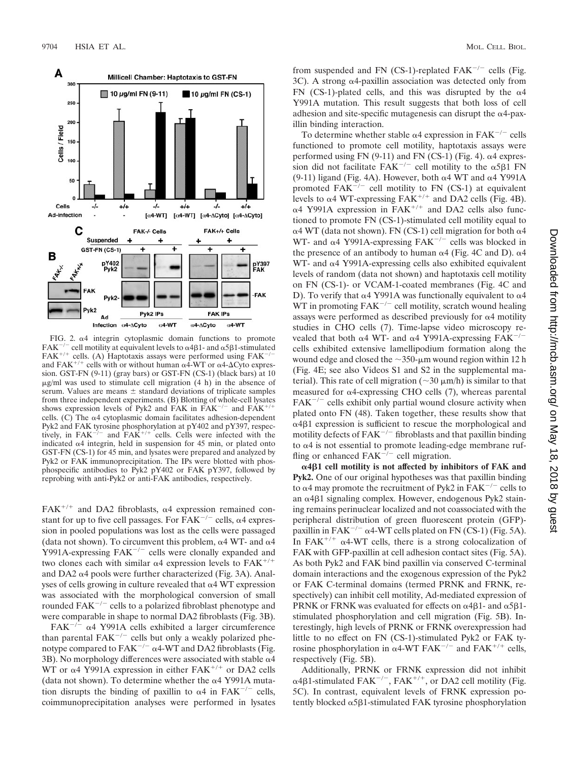

FIG. 2.  $\alpha$ 4 integrin cytoplasmic domain functions to promote FAK<sup>-/-</sup> cell motility at equivalent levels to  $\alpha$ 4 $\beta$ 1- and  $\alpha$ 5 $\beta$ 1-stimulated FAK<sup>+/+</sup> cells. (A) Haptotaxis assays were performed using FAK<sup>-</sup> and FAK<sup>+/+</sup> cells with or without human  $\alpha$ 4-WT or  $\alpha$ 4- $\Delta$ Cyto express and FAK<sup>+/+</sup> cells with or without human  $\alpha$ 4-WT or  $\alpha$ 4- $\Delta$ Cyto expression. GST-FN (9-11) (gray bars) or GST-FN (CS-1) (black bars) at 10  $\mu$ g/ml was used to stimulate cell migration (4 h) in the absence of serum. Values are means  $\pm$  standard deviations of triplicate samples from three independent experiments. (B) Blotting of whole-cell lysates shows expression levels of Pyk2 and FAK in FAK<sup>-/-</sup> and FAK<sup>+/</sup> cells. (C) The  $\alpha$ 4 cytoplasmic domain facilitates adhesion-dependent Pyk2 and FAK tyrosine phosphorylation at pY402 and pY397, respectively, in  $FAK^{-/-}$  and  $FAK^{+/+}$  cells. Cells were infected with the indicated  $\alpha$ 4 integrin, held in suspension for 45 min, or plated onto GST-FN (CS-1) for 45 min, and lysates were prepared and analyzed by Pyk2 or FAK immunoprecipitation. The IPs were blotted with phosphospecific antibodies to Pyk2 pY402 or FAK pY397, followed by reprobing with anti-Pyk2 or anti-FAK antibodies, respectively.

FAK<sup>+/+</sup> and DA2 fibroblasts,  $\alpha$ 4 expression remained constant for up to five cell passages. For  $\overline{FAK}^{-/-}$  cells,  $\alpha$ 4 expression in pooled populations was lost as the cells were passaged (data not shown). To circumvent this problem,  $\alpha$ 4 WT- and  $\alpha$ 4 Y991A-expressing  $FAK^{-/-}$  cells were clonally expanded and two clones each with similar  $\alpha$ 4 expression levels to FAK<sup>+/+</sup> and DA2  $\alpha$ 4 pools were further characterized (Fig. 3A). Analyses of cells growing in culture revealed that  $\alpha$ 4 WT expression was associated with the morphological conversion of small rounded  $FAK^{-/-}$  cells to a polarized fibroblast phenotype and were comparable in shape to normal DA2 fibroblasts (Fig. 3B).

FAK<sup> $-/-$ </sup>  $\alpha$ 4 Y991A cells exhibited a larger circumference than parental  $FAK^{-/-}$  cells but only a weakly polarized phenotype compared to FAK<sup>-/-</sup>  $\alpha$ 4-WT and DA2 fibroblasts (Fig. 3B). No morphology differences were associated with stable  $\alpha$ 4 WT or  $\alpha$ 4 Y991A expression in either FAK<sup>+/+</sup> or DA2 cells (data not shown). To determine whether the  $\alpha$ 4 Y991A mutation disrupts the binding of paxillin to  $\alpha$ 4 in FAK<sup>-/-</sup> cells, coimmunoprecipitation analyses were performed in lysates from suspended and FN (CS-1)-replated FAK<sup> $-/-$ </sup> cells (Fig.  $3C$ ). A strong  $\alpha$ 4-paxillin association was detected only from FN (CS-1)-plated cells, and this was disrupted by the  $\alpha$ 4 Y991A mutation. This result suggests that both loss of cell adhesion and site-specific mutagenesis can disrupt the  $\alpha$ 4-paxillin binding interaction.

To determine whether stable  $\alpha$ 4 expression in FAK<sup>-/-</sup> cells functioned to promote cell motility, haptotaxis assays were performed using  $FN$  (9-11) and  $FN$  (CS-1) (Fig. 4).  $\alpha$ 4 expression did not facilitate  $FAK^{-/-}$  cell motility to the  $\alpha 5\beta 1$  FN (9-11) ligand (Fig. 4A). However, both  $\alpha$ 4 WT and  $\alpha$ 4 Y991A promoted  $FAK^{-/-}$  cell motility to FN (CS-1) at equivalent levels to  $\alpha$ 4 WT-expressing FAK<sup>+/+</sup> and DA2 cells (Fig. 4B).  $\alpha$ 4 Y991A expression in FAK<sup>+/+</sup> and DA2 cells also functioned to promote FN (CS-1)-stimulated cell motility equal to  $\alpha$ 4 WT (data not shown). FN (CS-1) cell migration for both  $\alpha$ 4 WT- and  $\alpha$ 4 Y991A-expressing FAK<sup>-/-</sup> cells was blocked in the presence of an antibody to human  $\alpha$ 4 (Fig. 4C and D).  $\alpha$ 4 WT- and  $\alpha$ 4 Y991A-expressing cells also exhibited equivalent levels of random (data not shown) and haptotaxis cell motility on FN (CS-1)- or VCAM-1-coated membranes (Fig. 4C and D). To verify that  $\alpha$ 4 Y991A was functionally equivalent to  $\alpha$ 4 WT in promoting  $FAK^{-/-}$  cell motility, scratch wound healing assays were performed as described previously for  $\alpha$ 4 motility studies in CHO cells (7). Time-lapse video microscopy revealed that both  $\alpha$ 4 WT- and  $\alpha$ 4 Y991A-expressing FAK<sup>-/-</sup> cells exhibited extensive lamellipodium formation along the wound edge and closed the  $\sim$ 350-µm wound region within 12 h (Fig. 4E; see also Videos S1 and S2 in the supplemental material). This rate of cell migration ( $\sim$ 30  $\mu$ m/h) is similar to that measured for  $\alpha$ 4-expressing CHO cells (7), whereas parental  $FAK^{-/-}$  cells exhibit only partial wound closure activity when plated onto FN (48). Taken together, these results show that  $\alpha$ 4 $\beta$ 1 expression is sufficient to rescue the morphological and motility defects of  $FAK^{-/-}$  fibroblasts and that paxillin binding to  $\alpha$ 4 is not essential to promote leading-edge membrane ruffling or enhanced  $FAK^{-/-}$  cell migration.

**4**-**1 cell motility is not affected by inhibitors of FAK and Pyk2.** One of our original hypotheses was that paxillin binding to  $\alpha$ 4 may promote the recruitment of Pyk2 in FAK<sup>-/-</sup> cells to an  $\alpha$ 481 signaling complex. However, endogenous Pyk2 staining remains perinuclear localized and not coassociated with the peripheral distribution of green fluorescent protein (GFP) paxillin in FAK<sup> $-/-$ </sup>  $\alpha$ 4-WT cells plated on FN (CS-1) (Fig. 5A). In FAK<sup>+/+</sup>  $\alpha$ 4-WT cells, there is a strong colocalization of FAK with GFP-paxillin at cell adhesion contact sites (Fig. 5A). As both Pyk2 and FAK bind paxillin via conserved C-terminal domain interactions and the exogenous expression of the Pyk2 or FAK C-terminal domains (termed PRNK and FRNK, respectively) can inhibit cell motility, Ad-mediated expression of PRNK or FRNK was evaluated for effects on  $\alpha$ 4 $\beta$ 1- and  $\alpha$ 5 $\beta$ 1stimulated phosphorylation and cell migration (Fig. 5B). Interestingly, high levels of PRNK or FRNK overexpression had little to no effect on FN (CS-1)-stimulated Pyk2 or FAK tyrosine phosphorylation in  $\alpha$ 4-WT FAK<sup>-/-</sup> and FAK<sup>+/+</sup> cells, respectively (Fig. 5B).

Additionally, PRNK or FRNK expression did not inhibit  $\alpha$ 4 $\beta$ 1-stimulated FAK<sup>-/-</sup>, FAK<sup>+/+</sup>, or DA2 cell motility (Fig. 5C). In contrast, equivalent levels of FRNK expression potently blocked  $\alpha$ 5 $\beta$ 1-stimulated FAK tyrosine phosphorylation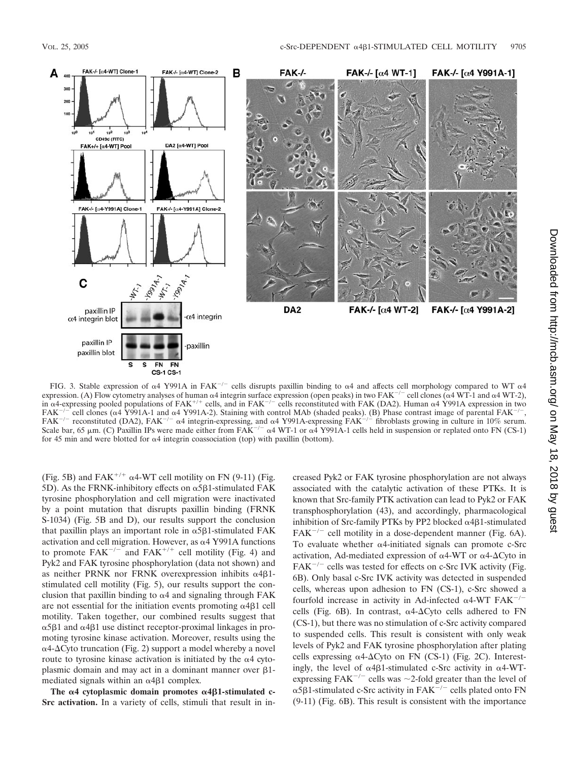

FIG. 3. Stable expression of  $\alpha$ 4 Y991A in FAK<sup>-/-</sup> cells disrupts paxillin binding to  $\alpha$ 4 and affects cell morphology compared to WT  $\alpha$ 4 expression. (A) Flow cytometry analyses of human  $\alpha$ 4 integrin surface expression (open peaks) in two FAK<sup>-/-</sup> cell clones ( $\alpha$ 4 WT-1 and  $\alpha$ 4 WT-2), in  $\alpha$ 4-expressing pooled populations of FAK<sup>+/+</sup> cells, and in FAK<sup>-/-</sup> cells reconstituted with FAK (DA2). Human  $\alpha$ 4 Y991A expression in two  $FAK^{-/-}$  cell clones ( $\alpha$ 4 Y991A-1 and  $\alpha$ 4 Y991A-2). Staining with control MAb (shaded peaks). (B) Phase contrast image of parental  $FAK^{-/-}$ ,  $FAK^{-/-}$  reconstituted (DA2),  $FAK^{-/-}$   $\alpha$ 4 integrin-expressing, and  $\alpha$ 4 Y991A-expressing  $FAK^{-/-}$  fibroblasts growing in culture in 10% serum. Scale bar, 65  $\mu$ m. (C) Paxillin IPs were made either from FAK<sup>-/-</sup>  $\alpha$ 4 WT-1 or  $\alpha$ 4 Y991A-1 cells held in suspension or replated onto FN (CS-1) for 45 min and were blotted for  $\alpha$ 4 integrin coassociation (top) with paxillin (bottom).

(Fig. 5B) and  $FAK^{+/+}$   $\alpha$ 4-WT cell motility on FN (9-11) (Fig. 5D). As the FRNK-inhibitory effects on  $\alpha$ 5 $\beta$ 1-stimulated FAK tyrosine phosphorylation and cell migration were inactivated by a point mutation that disrupts paxillin binding (FRNK S-1034) (Fig. 5B and D), our results support the conclusion that paxillin plays an important role in  $\alpha$ 5 $\beta$ 1-stimulated FAK activation and cell migration. However, as  $\alpha$ 4 Y991A functions to promote  $FAK^{-/-}$  and  $FAK^{+/+}$  cell motility (Fig. 4) and Pyk2 and FAK tyrosine phosphorylation (data not shown) and as neither PRNK nor FRNK overexpression inhibits  $\alpha$ 4 $\beta$ 1stimulated cell motility (Fig. 5), our results support the conclusion that paxillin binding to  $\alpha$ 4 and signaling through FAK are not essential for the initiation events promoting  $\alpha$ 4 $\beta$ 1 cell motility. Taken together, our combined results suggest that  $\alpha$ 5 $\beta$ 1 and  $\alpha$ 4 $\beta$ 1 use distinct receptor-proximal linkages in promoting tyrosine kinase activation. Moreover, results using the  $\alpha$ 4- $\Delta$ Cyto truncation (Fig. 2) support a model whereby a novel route to tyrosine kinase activation is initiated by the  $\alpha$ 4 cytoplasmic domain and may act in a dominant manner over  $\beta$ 1mediated signals within an  $\alpha$ 4 $\beta$ 1 complex.

The  $\alpha$ 4 cytoplasmic domain promotes  $\alpha$ 4 $\beta$ 1-stimulated c-**Src activation.** In a variety of cells, stimuli that result in increased Pyk2 or FAK tyrosine phosphorylation are not always associated with the catalytic activation of these PTKs. It is known that Src-family PTK activation can lead to Pyk2 or FAK transphosphorylation (43), and accordingly, pharmacological inhibition of Src-family PTKs by PP2 blocked  $\alpha$ 4 $\beta$ 1-stimulated  $FAK^{-/-}$  cell motility in a dose-dependent manner (Fig. 6A). To evaluate whether  $\alpha$ 4-initiated signals can promote c-Src activation, Ad-mediated expression of  $\alpha$ 4-WT or  $\alpha$ 4- $\Delta$ Cyto in  $FAK^{-/-}$  cells was tested for effects on c-Src IVK activity (Fig. 6B). Only basal c-Src IVK activity was detected in suspended cells, whereas upon adhesion to FN (CS-1), c-Src showed a fourfold increase in activity in Ad-infected  $\alpha$ 4-WT FAK<sup>-/-</sup> cells (Fig. 6B). In contrast,  $\alpha$ 4- $\Delta$ Cyto cells adhered to FN (CS-1), but there was no stimulation of c-Src activity compared to suspended cells. This result is consistent with only weak levels of Pyk2 and FAK tyrosine phosphorylation after plating cells expressing  $\alpha$ 4- $\Delta$ Cyto on FN (CS-1) (Fig. 2C). Interestingly, the level of  $\alpha$ 4 $\beta$ 1-stimulated c-Src activity in  $\alpha$ 4-WTexpressing FAK<sup> $-/-$ </sup> cells was  $\sim$  2-fold greater than the level of  $\alpha$ 5 $\beta$ 1-stimulated c-Src activity in FAK<sup>-/-</sup> cells plated onto FN (9-11) (Fig. 6B). This result is consistent with the importance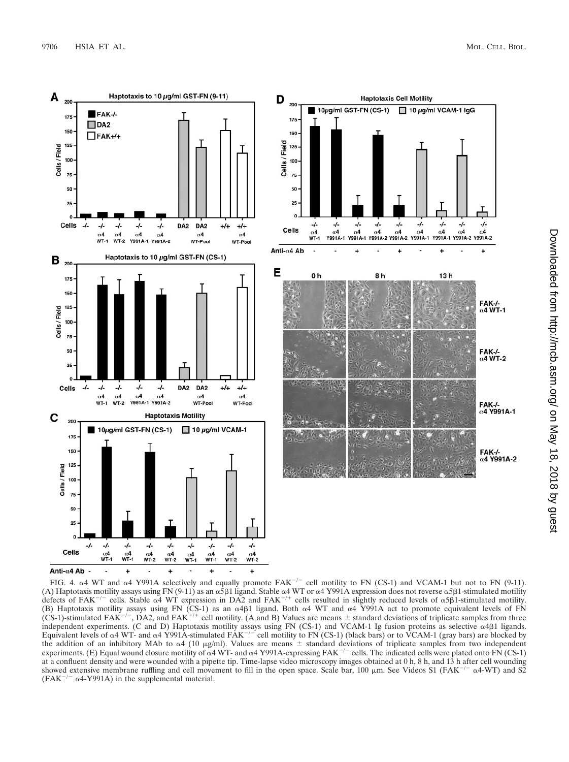

FIG. 4.  $\alpha$ 4 WT and  $\alpha$ 4 Y991A selectively and equally promote FAK<sup>-/-</sup> cell motility to FN (CS-1) and VCAM-1 but not to FN (9-11). (A) Haptotaxis motility assays using FN (9-11) as an  $\alpha$ 5 $\beta$ 1 ligand. Stable  $\alpha$ 4 WT or  $\alpha$ 4 Y991A expression does not reverse  $\alpha$ 5 $\beta$ 1-stimulated motility defects of FAK<sup>-/-</sup> cells. Stable  $\alpha$ 4 WT expression in DA2 and FAK<sup>+/+</sup> cells resulted in slightly reduced levels of  $\alpha$ 5B1-stimulated motility. (B) Haptotaxis motility assays using FN (CS-1) as an  $\alpha$ 4 $\beta$ 1 ligand. Both  $\alpha$ 4 WT and  $\alpha$ 4 Y991A act to promote equivalent levels of FN  $(CS-1)$ -stimulated FAK<sup>-/-</sup>, DA2, and FAK<sup>+/+</sup> cell motility. (A and B) Values are means  $\pm$  standard deviations of triplicate samples from three independent experiments. (C and D) Haptotaxis motility assays using FN (CS-1) and VCAM-1 Ig fusion proteins as selective  $\alpha$ 4 $\beta$ 1 ligands. Equivalent levels of  $\alpha$ 4 WT- and  $\alpha$ 4 Y991A-stimulated FAK<sup>-/-</sup> cell motility to FN (CS-1) (black bars) or to VCAM-1 (gray bars) are blocked by the addition of an inhibitory MAb to  $\alpha$ 4 (10  $\mu$ g/ml). Values are means  $\pm$  standard deviations of triplicate samples from two independent experiments. (E) Equal wound closure motility of  $\alpha$ 4 WT- and  $\alpha$ 4 Y991A-expressing FAK<sup>-/-</sup> cells. The indicated cells were plated onto FN (CS-1) at a confluent density and were wounded with a pipette tip. Time-lapse video microscopy images obtained at 0 h, 8 h, and 13 h after cell wounding showed extensive membrane ruffling and cell movement to fill in the open space. Scale bar, 100  $\mu$ m. See Videos S1 (FAK<sup>-/-</sup>  $\alpha$ 4-WT) and S2 (FAK<sup>-/-</sup>  $\alpha$ 4-Y991A) in the supplemental material.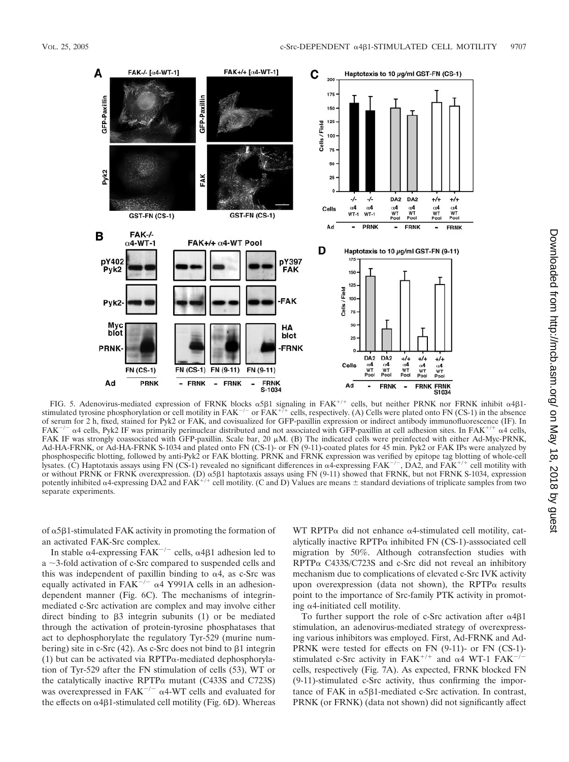

FIG. 5. Adenovirus-mediated expression of FRNK blocks  $\alpha$ 5 $\beta$ 1 signaling in FAK<sup>+/+</sup> cells, but neither PRNK nor FRNK inhibit  $\alpha$ 4 $\beta$ 1stimulated tyrosine phosphorylation or cell motility in  $FAK^{-/-}$  or  $FAK^{+/-}$  cells, respectively. (A) Cells were plated onto FN (CS-1) in the absence of serum for 2 h, fixed, stained for Pyk2 or FAK, and covisualized for GFP-paxillin expression or indirect antibody immunofluorescence (IF). In  $FAK^{-/-}$   $\alpha$ 4 cells, Pyk2 IF was primarily perinuclear distributed and not associated with GFP-paxillin at cell adhesion sites. In FAK<sup>+/+</sup>  $\alpha$ 4 cells, FAK IF was strongly coassociated with GFP-paxillin. Scale bar, 20  $\mu$ M. (B) The indicated cells were preinfected with either Ad-Myc-PRNK, Ad-HA-FRNK, or Ad-HA-FRNK S-1034 and plated onto FN (CS-1)- or FN (9-11)-coated plates for 45 min. Pyk2 or FAK IPs were analyzed by phosphospecific blotting, followed by anti-Pyk2 or FAK blotting. PRNK and FRNK expression was verified by epitope tag blotting of whole-cell lysates. (C) Haptotaxis assays using FN (CS-1) revealed no significant differences in  $\alpha$ 4-expressing FAK<sup>-/-</sup>, DA2, and FAK<sup>+/+</sup> cell motility with or without PRNK or FRNK overexpression. (D)  $\alpha$ 5 $\beta$ 1 haptotaxis assays using FN (9-11) showed that FRNK, but not FRNK S-1034, expression potently inhibited  $\alpha$ 4-expressing DA2 and FAK<sup>+/+</sup> cell motility. (C and D) Values are means  $\pm$  standard deviations of triplicate samples from two separate experiments.

of  $\alpha$ 5 $\beta$ 1-stimulated FAK activity in promoting the formation of an activated FAK-Src complex.

In stable  $\alpha$ 4-expressing  $\overline{FAK}^{-/-}$  cells,  $\alpha$ 4 $\beta$ 1 adhesion led to  $a \sim$ 3-fold activation of c-Src compared to suspended cells and this was independent of paxillin binding to  $\alpha$ 4, as c-Src was equally activated in FAK<sup> $-/-$ </sup>  $\alpha$ 4 Y991A cells in an adhesiondependent manner (Fig. 6C). The mechanisms of integrinmediated c-Src activation are complex and may involve either direct binding to  $\beta$ 3 integrin subunits (1) or be mediated through the activation of protein-tyrosine phosphatases that act to dephosphorylate the regulatory Tyr-529 (murine numbering) site in c-Src (42). As c-Src does not bind to  $\beta$ 1 integrin (1) but can be activated via RPTP $\alpha$ -mediated dephosphorylation of Tyr-529 after the FN stimulation of cells (53), WT or the catalytically inactive RPTP $\alpha$  mutant (C433S and C723S) was overexpressed in FAK<sup> $-/-$ </sup>  $\alpha$ 4-WT cells and evaluated for the effects on  $\alpha$ 4 $\beta$ 1-stimulated cell motility (Fig. 6D). Whereas

WT RPTP $\alpha$  did not enhance  $\alpha$ 4-stimulated cell motility, catalytically inactive RPTP $\alpha$  inhibited FN (CS-1)-asssociated cell migration by 50%. Although cotransfection studies with  $RPTP\alpha$  C433S/C723S and c-Src did not reveal an inhibitory mechanism due to complications of elevated c-Src IVK activity upon overexpression (data not shown), the RPTP $\alpha$  results point to the importance of Src-family PTK activity in promoting  $\alpha$ 4-initiated cell motility.

To further support the role of c-Src activation after  $\alpha$ 4 $\beta$ 1 stimulation, an adenovirus-mediated strategy of overexpressing various inhibitors was employed. First, Ad-FRNK and Ad-PRNK were tested for effects on FN (9-11)- or FN (CS-1) stimulated c-Src activity in FAK<sup>+/+</sup> and  $\alpha$ 4 WT-1 FAK<sup>-/-</sup> cells, respectively (Fig. 7A). As expected, FRNK blocked FN (9-11)-stimulated c-Src activity, thus confirming the importance of FAK in  $\alpha$ 5 $\beta$ 1-mediated c-Src activation. In contrast, PRNK (or FRNK) (data not shown) did not significantly affect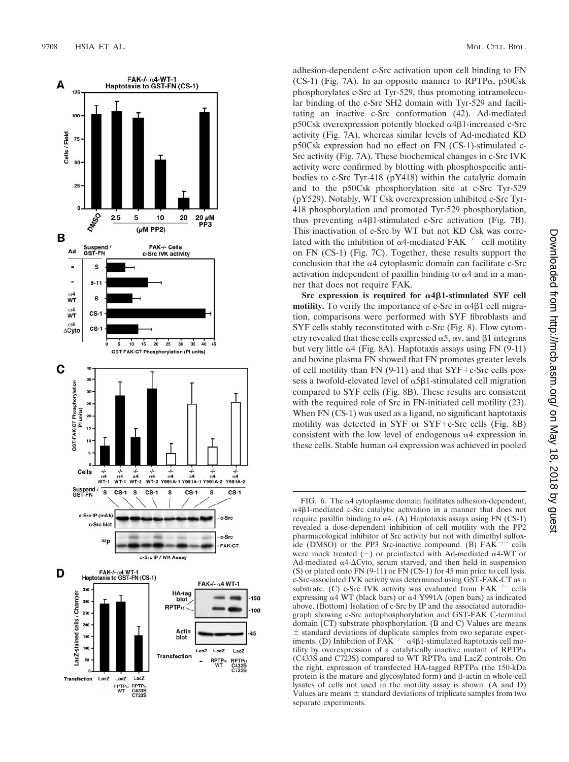

adhesion-dependent c-Src activation upon cell binding to FN  $(CS-1)$  (Fig. 7A). In an opposite manner to RPTP $\alpha$ , p50Csk phosphorylates c-Src at Tyr-529, thus promoting intramolecular binding of the c-Src SH2 domain with Tyr-529 and facilitating an inactive c-Src conformation (42). Ad-mediated p50Csk overexpression potently blocked α4β1-increased c-Src activity (Fig. 7A), whereas similar levels of Ad-mediated KD p50Csk expression had no effect on FN (CS-1)-stimulated c-Src activity (Fig. 7A). These biochemical changes in c-Src IVK activity were confirmed by blotting with phosphospecific antibodies to c-Src Tyr-418 (pY418) within the catalytic domain and to the p50Csk phosphorylation site at c-Src Tyr-529 (pY529). Notably, WT Csk overexpression inhibited c-Src Tyr-418 phosphorylation and promoted Tyr-529 phosphorylation, thus preventing  $\alpha$ 4 $\beta$ 1-stimulated c-Src activation (Fig. 7B). This inactivation of c-Src by WT but not KD Csk was correlated with the inhibition of  $\alpha$ 4-mediated FAK<sup>-/-</sup> cell motility on FN (CS-1) (Fig. 7C). Together, these results support the conclusion that the  $\alpha$ 4 cytoplasmic domain can facilitate c-Src activation independent of paxillin binding to  $\alpha$ 4 and in a manner that does not require FAK.

**Src expression is required for α4β1-stimulated SYF cell motility.** To verify the importance of c-Src in  $\alpha$ 4 $\beta$ 1 cell migration, comparisons were performed with SYF fibroblasts and SYF cells stably reconstituted with c-Src (Fig. 8). Flow cytometry revealed that these cells expressed  $\alpha$ 5,  $\alpha$ v, and  $\beta$ 1 integrins but very little  $\alpha$ 4 (Fig. 8A). Haptotaxis assays using FN (9-11) and bovine plasma FN showed that FN promotes greater levels of cell motility than FN (9-11) and that SYF c-Src cells possess a twofold-elevated level of  $\alpha$ 5 $\beta$ 1-stimulated cell migration compared to SYF cells (Fig. 8B). These results are consistent with the required role of Src in FN-initiated cell motility (23). When FN (CS-1) was used as a ligand, no significant haptotaxis motility was detected in SYF or SYF c-Src cells (Fig. 8B) consistent with the low level of endogenous  $\alpha$ 4 expression in these cells. Stable human  $\alpha$ 4 expression was achieved in pooled

FIG. 6. The  $\alpha$ 4 cytoplasmic domain facilitates adhesion-dependent, α4β1-mediated c-Src catalytic activation in a manner that does not require paxillin binding to  $\alpha$ 4. (A) Haptotaxis assays using FN (CS-1) revealed a dose-dependent inhibition of cell motility with the PP2 pharmacological inhibitor of Src activity but not with dimethyl sulfoxide (DMSO) or the PP3 Src-inactive compound. (B)  $FAK^{-/-}$  cells were mock treated  $(-)$  or preinfected with Ad-mediated  $\alpha$ 4-WT or Ad-mediated  $\alpha$ 4- $\Delta$ Cyto, serum starved, and then held in suspension (S) or plated onto FN (9-11) or FN (CS-1) for 45 min prior to cell lysis. c-Src-associated IVK activity was determined using GST-FAK-CT as a substrate. (C) c-Src IVK activity was evaluated from  $FAK^{-/}$ - cells expressing  $\alpha$ 4 WT (black bars) or  $\alpha$ 4 Y991A (open bars) as indicated above. (Bottom) Isolation of c-Src by IP and the associated autoradiograph showing c-Src autophosphorylation and GST-FAK C-terminal domain (CT) substrate phosphorylation. (B and C) Values are means  $\pm$  standard deviations of duplicate samples from two separate experiments. (D) Inhibition of  $FAK^{-/-}$   $\alpha$ 4 $\beta$ 1-stimulated haptotaxis cell motility by overexpression of a catalytically inactive mutant of  $\text{RPTP}\alpha$  $(C433S$  and  $C723S)$  compared to WT RPTP $\alpha$  and LacZ controls. On the right, expression of transfected HA-tagged RPTPα (the 150-kDa protein is the mature and glycosylated form) and  $\beta$ -actin in whole-cell lysates of cells not used in the motility assay is shown. (A and D) Values are means  $\pm$  standard deviations of triplicate samples from two separate experiments.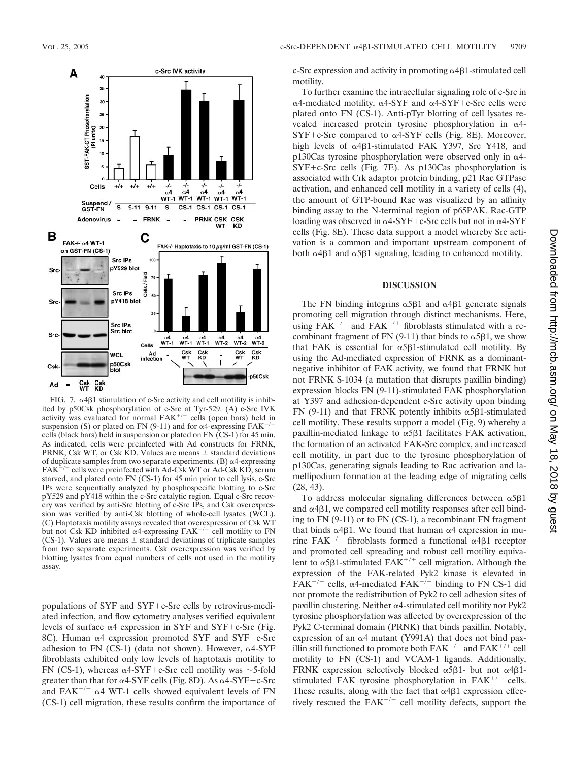

FIG. 7.  $\alpha$ 4 $\beta$ 1 stimulation of c-Src activity and cell motility is inhibited by p50Csk phosphorylation of c-Src at Tyr-529. (A) c-Src IVK activity was evaluated for normal  $FAK^{+/+}$  cells (open bars) held in suspension (S) or plated on FN (9-11) and for  $\alpha$ 4-expressing FAK<sup>-/-</sup> cells (black bars) held in suspension or plated on FN (CS-1) for 45 min. As indicated, cells were preinfected with Ad constructs for FRNK, PRNK, Csk WT, or Csk KD. Values are means  $\pm$  standard deviations of duplicate samples from two separate experiments.  $(B)$   $\alpha$ 4-expressing  $FAK^{-/-}$  cells were preinfected with Ad-Csk WT or Ad-Csk KD, serum starved, and plated onto FN (CS-1) for 45 min prior to cell lysis. c-Src IPs were sequentially analyzed by phosphospecific blotting to c-Src pY529 and pY418 within the c-Src catalytic region. Equal c-Src recovery was verified by anti-Src blotting of c-Src IPs, and Csk overexpression was verified by anti-Csk blotting of whole-cell lysates (WCL). (C) Haptotaxis motility assays revealed that overexpression of Csk WT but not Csk KD inhibited  $\alpha$ 4-expressing FAK<sup>-/-</sup> cell motility to FN (CS-1). Values are means  $\pm$  standard deviations of triplicate samples from two separate experiments. Csk overexpression was verified by blotting lysates from equal numbers of cells not used in the motility assay.

populations of  $SYF$  and  $SYF+c-Src$  cells by retrovirus-mediated infection, and flow cytometry analyses verified equivalent levels of surface  $\alpha$ 4 expression in SYF and SYF+c-Src (Fig. 8C). Human  $\alpha$ 4 expression promoted SYF and SYF+c-Src adhesion to FN (CS-1) (data not shown). However,  $\alpha$ 4-SYF fibroblasts exhibited only low levels of haptotaxis motility to FN (CS-1), whereas  $\alpha$ 4-SYF+c-Src cell motility was  $\sim$ 5-fold greater than that for  $\alpha$ 4-SYF cells (Fig. 8D). As  $\alpha$ 4-SYF+c-Src and FAK<sup> $-/-$ </sup>  $\alpha$ 4 WT-1 cells showed equivalent levels of FN (CS-1) cell migration, these results confirm the importance of

c-Src expression and activity in promoting  $\alpha$ 4 $\beta$ 1-stimulated cell motility.

To further examine the intracellular signaling role of c-Src in  $\alpha$ 4-mediated motility,  $\alpha$ 4-SYF and  $\alpha$ 4-SYF+c-Src cells were plated onto FN (CS-1). Anti-pTyr blotting of cell lysates revealed increased protein tyrosine phosphorylation in  $\alpha$ 4- $SYF+c-Src$  compared to  $\alpha$ 4-SYF cells (Fig. 8E). Moreover, high levels of  $\alpha$ 4 $\beta$ 1-stimulated FAK Y397, Src Y418, and p130Cas tyrosine phosphorylation were observed only in  $\alpha$ 4- $SYF+c-Src$  cells (Fig. 7E). As p130Cas phosphorylation is associated with Crk adaptor protein binding, p21 Rac GTPase activation, and enhanced cell motility in a variety of cells (4), the amount of GTP-bound Rac was visualized by an affinity binding assay to the N-terminal region of p65PAK. Rac-GTP loading was observed in  $\alpha 4\text{-SYF}+\text{c-Src}$  cells but not in  $\alpha 4\text{-SYF}$ cells (Fig. 8E). These data support a model whereby Src activation is a common and important upstream component of both  $\alpha$ 4 $\beta$ 1 and  $\alpha$ 5 $\beta$ 1 signaling, leading to enhanced motility.

## **DISCUSSION**

The FN binding integrins  $\alpha$ 5 $\beta$ 1 and  $\alpha$ 4 $\beta$ 1 generate signals promoting cell migration through distinct mechanisms. Here, using  $FAK^{-/-}$  and  $FAK^{+/+}$  fibroblasts stimulated with a recombinant fragment of FN (9-11) that binds to  $\alpha$ 5 $\beta$ 1, we show that FAK is essential for  $\alpha$ 5 $\beta$ 1-stimulated cell motility. By using the Ad-mediated expression of FRNK as a dominantnegative inhibitor of FAK activity, we found that FRNK but not FRNK S-1034 (a mutation that disrupts paxillin binding) expression blocks FN (9-11)-stimulated FAK phosphorylation at Y397 and adhesion-dependent c-Src activity upon binding FN (9-11) and that FRNK potently inhibits  $\alpha$ 5 $\beta$ 1-stimulated cell motility. These results support a model (Fig. 9) whereby a paxillin-mediated linkage to  $\alpha$ 5 $\beta$ 1 facilitates FAK activation, the formation of an activated FAK-Src complex, and increased cell motility, in part due to the tyrosine phosphorylation of p130Cas, generating signals leading to Rac activation and lamellipodium formation at the leading edge of migrating cells (28, 43).

To address molecular signaling differences between  $\alpha$ 5 $\beta$ 1 and  $\alpha$ 4 $\beta$ 1, we compared cell motility responses after cell binding to FN (9-11) or to FN (CS-1), a recombinant FN fragment that binds  $\alpha$ 4 $\beta$ 1. We found that human  $\alpha$ 4 expression in murine FAK<sup>-/-</sup> fibroblasts formed a functional  $\alpha$ 4 $\beta$ 1 receptor and promoted cell spreading and robust cell motility equivalent to  $\alpha$ 5 $\beta$ 1-stimulated FAK<sup>+/+</sup> cell migration. Although the expression of the FAK-related Pyk2 kinase is elevated in  $FAK^{-/-}$  cells,  $\alpha$ 4-mediated  $FAK^{-/-}$  binding to FN CS-1 did not promote the redistribution of Pyk2 to cell adhesion sites of paxillin clustering. Neither  $\alpha$ 4-stimulated cell motility nor Pyk2 tyrosine phosphorylation was affected by overexpression of the Pyk2 C-terminal domain (PRNK) that binds paxillin. Notably, expression of an  $\alpha$ 4 mutant (Y991A) that does not bind paxillin still functioned to promote both  $FAK^{-/-}$  and  $FAK^{+/+}$  cell motility to FN (CS-1) and VCAM-1 ligands. Additionally, FRNK expression selectively blocked  $\alpha$ 5 $\beta$ 1- but not  $\alpha$ 4 $\beta$ 1stimulated FAK tyrosine phosphorylation in  $FAK^{+/+}$  cells. These results, along with the fact that  $\alpha$ 4 $\beta$ 1 expression effectively rescued the  $FAK^{-/-}$  cell motility defects, support the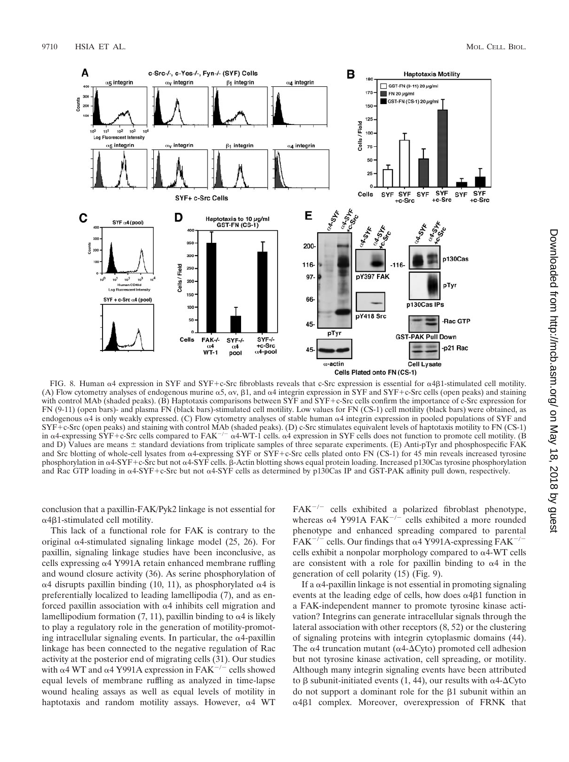

FIG. 8. Human  $\alpha$ 4 expression in SYF and SYF+c-Src fibroblasts reveals that c-Src expression is essential for  $\alpha$ 4 $\beta$ 1-stimulated cell motility. (A) Flow cytometry analyses of endogenous murine  $\alpha$ 5,  $\alpha$ v,  $\beta$ 1, and  $\alpha$ 4 integrin expression in SYF and SYF+c-Src cells (open peaks) and staining with control MAb (shaded peaks). (B) Haptotaxis comparisons between SYF and SYF+c-Src cells confirm the importance of c-Src expression for FN (9-11) (open bars)- and plasma FN (black bars)-stimulated cell motility. Low values for FN (CS-1) cell motility (black bars) were obtained, as endogenous  $\alpha$ 4 is only weakly expressed. (C) Flow cytometry analyses of stable human  $\alpha$ 4 integrin expression in pooled populations of SYF and SYF+c-Src (open peaks) and staining with control MAb (shaded peaks). (D) c-Src stimulates equivalent levels of haptotaxis motility to FN (CS-1) in  $\alpha$ 4-expressing SYF+c-Src cells compared to FAK<sup>-/-</sup>  $\alpha$ 4-WT-1 cells.  $\alpha$ 4 expression in SYF cells does not function to promote cell motility. (B) and D) Values are means  $\pm$  standard deviations from triplicate samples of three separate experiments. (E) Anti-pTyr and phosphospecific FAK and Src blotting of whole-cell lysates from  $\alpha$ 4-expressing SYF or SYF+c-Src cells plated onto FN (CS-1) for 45 min reveals increased tyrosine phosphorylation in α4-SYF+c-Src but not α4-SYF cells. β-Actin blotting shows equal protein loading. Increased p130Cas tyrosine phosphorylation and Rac GTP loading in  $\alpha$ 4-SYF+c-Src but not  $\alpha$ 4-SYF cells as determined by p130Cas IP and GST-PAK affinity pull down, respectively.

conclusion that a paxillin-FAK/Pyk2 linkage is not essential for  $\alpha$ 4 $\beta$ 1-stimulated cell motility.

This lack of a functional role for FAK is contrary to the original  $\alpha$ 4-stimulated signaling linkage model (25, 26). For paxillin, signaling linkage studies have been inconclusive, as cells expressing  $\alpha$ 4 Y991A retain enhanced membrane ruffling and wound closure activity (36). As serine phosphorylation of  $\alpha$ 4 disrupts paxillin binding (10, 11), as phosphorylated  $\alpha$ 4 is preferentially localized to leading lamellipodia (7), and as enforced paxillin association with  $\alpha$ 4 inhibits cell migration and lamellipodium formation  $(7, 11)$ , paxillin binding to  $\alpha$ 4 is likely to play a regulatory role in the generation of motility-promoting intracellular signaling events. In particular, the  $\alpha$ 4-paxillin linkage has been connected to the negative regulation of Rac activity at the posterior end of migrating cells (31). Our studies with  $\alpha$ 4 WT and  $\alpha$ 4 Y991A expression in FAK<sup>-/-</sup> cells showed equal levels of membrane ruffling as analyzed in time-lapse wound healing assays as well as equal levels of motility in haptotaxis and random motility assays. However,  $\alpha$ 4 WT

 $FAK^{-/-}$  cells exhibited a polarized fibroblast phenotype, whereas  $\alpha$ 4 Y991A FAK<sup>-/-</sup> cells exhibited a more rounded phenotype and enhanced spreading compared to parental  $FAK^{-/-}$  cells. Our findings that  $\alpha$ 4 Y991A-expressing  $FAK^{-/-}$ cells exhibit a nonpolar morphology compared to  $\alpha$ 4-WT cells are consistent with a role for paxillin binding to  $\alpha$ 4 in the generation of cell polarity (15) (Fig. 9).

If a  $\alpha$ 4-paxillin linkage is not essential in promoting signaling events at the leading edge of cells, how does  $\alpha$ 4 $\beta$ 1 function in a FAK-independent manner to promote tyrosine kinase activation? Integrins can generate intracellular signals through the lateral association with other receptors (8, 52) or the clustering of signaling proteins with integrin cytoplasmic domains (44). The  $\alpha$ 4 truncation mutant ( $\alpha$ 4- $\Delta$ Cyto) promoted cell adhesion but not tyrosine kinase activation, cell spreading, or motility. Although many integrin signaling events have been attributed to  $\beta$  subunit-initiated events (1, 44), our results with  $\alpha$ 4- $\Delta$ Cyto do not support a dominant role for the  $\beta$ 1 subunit within an α4β1 complex. Moreover, overexpression of FRNK that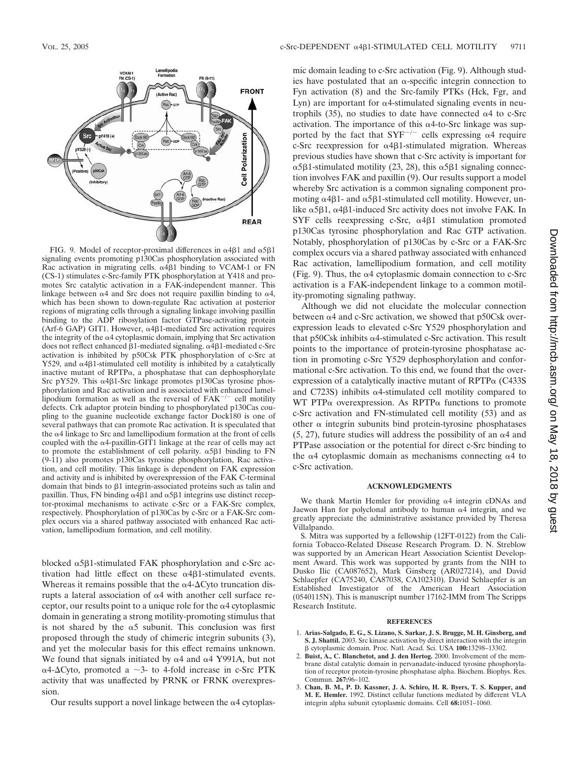

FIG. 9. Model of receptor-proximal differences in  $\alpha$ 4 $\beta$ 1 and  $\alpha$ 5 $\beta$ 1 signaling events promoting p130Cas phosphorylation associated with Rac activation in migrating cells.  $\alpha$ 4 $\beta$ 1 binding to VCAM-1 or FN (CS-1) stimulates c-Src-family PTK phosphorylation at Y418 and promotes Src catalytic activation in a FAK-independent manner. This linkage between  $\alpha$ 4 and Src does not require paxillin binding to  $\alpha$ 4, which has been shown to down-regulate Rac activation at posterior regions of migrating cells through a signaling linkage involving paxillin binding to the ADP ribosylation factor GTPase-activating protein (Arf-6 GAP) GIT1. However,  $\alpha$ 4 $\beta$ 1-mediated Src activation requires the integrity of the  $\alpha$ 4 cytoplasmic domain, implying that Src activation does not reflect enhanced  $\beta$ 1-mediated signaling.  $\alpha$ 4 $\beta$ 1-mediated c-Src activation is inhibited by p50Csk PTK phosphorylation of c-Src at Y529, and  $\alpha$ 4 $\beta$ 1-stimulated cell motility is inhibited by a catalytically inactive mutant of RPTP $\alpha$ , a phosphatase that can dephosphorylate Src pY529. This  $\alpha$ 4 $\beta$ 1-Src linkage promotes p130Cas tyrosine phosphorylation and Rac activation and is associated with enhanced lamellipodium formation as well as the reversal of  $FAK^{-/-}$  cell motility defects. Crk adaptor protein binding to phosphorylated p130Cas coupling to the guanine nucleotide exchange factor Dock180 is one of several pathways that can promote Rac activation. It is speculated that the  $\alpha$ 4 linkage to Src and lamellipodium formation at the front of cells coupled with the  $\alpha$ 4-paxillin-GIT1 linkage at the rear of cells may act to promote the establishment of cell polarity.  $\alpha$ 5 $\beta$ 1 binding to FN (9-11) also promotes p130Cas tyrosine phosphorylation, Rac activation, and cell motility. This linkage is dependent on FAK expression and activity and is inhibited by overexpression of the FAK C-terminal domain that binds to  $\beta$ 1 integrin-associated proteins such as talin and paxillin. Thus, FN binding  $\alpha$ 4 $\beta$ 1 and  $\alpha$ 5 $\beta$ 1 integrins use distinct receptor-proximal mechanisms to activate c-Src or a FAK-Src complex, respectively. Phosphorylation of p130Cas by c-Src or a FAK-Src complex occurs via a shared pathway associated with enhanced Rac activation, lamellipodium formation, and cell motility.

blocked  $\alpha$ 5 $\beta$ 1-stimulated FAK phosphorylation and c-Src activation had little effect on these  $\alpha$ 4 $\beta$ 1-stimulated events. Whereas it remains possible that the  $\alpha$ 4- $\Delta$ Cyto truncation disrupts a lateral association of  $\alpha$ 4 with another cell surface receptor, our results point to a unique role for the  $\alpha$ 4 cytoplasmic domain in generating a strong motility-promoting stimulus that is not shared by the  $\alpha$ 5 subunit. This conclusion was first proposed through the study of chimeric integrin subunits (3), and yet the molecular basis for this effect remains unknown. We found that signals initiated by  $\alpha$ 4 and  $\alpha$ 4 Y991A, but not  $\alpha$ 4- $\Delta$ Cyto, promoted a  $\sim$ 3- to 4-fold increase in c-Src PTK activity that was unaffected by PRNK or FRNK overexpression.

Our results support a novel linkage between the  $\alpha$ 4 cytoplas-

mic domain leading to c-Src activation (Fig. 9). Although studies have postulated that an  $\alpha$ -specific integrin connection to Fyn activation (8) and the Src-family PTKs (Hck, Fgr, and Lyn) are important for  $\alpha$ 4-stimulated signaling events in neutrophils (35), no studies to date have connected  $\alpha$ 4 to c-Src activation. The importance of this  $\alpha$ 4-to-Src linkage was supported by the fact that  $SYF^{-/-}$  cells expressing  $\alpha$ 4 require c-Src reexpression for  $\alpha$ 4 $\beta$ 1-stimulated migration. Whereas previous studies have shown that c-Src activity is important for  $\alpha$ 5 $\beta$ 1-stimulated motility (23, 28), this  $\alpha$ 5 $\beta$ 1 signaling connection involves FAK and paxillin (9). Our results support a model whereby Src activation is a common signaling component promoting  $\alpha$ 4 $\beta$ 1- and  $\alpha$ 5 $\beta$ 1-stimulated cell motility. However, unlike  $\alpha$ 5 $\beta$ 1,  $\alpha$ 4 $\beta$ 1-induced Src activity does not involve FAK. In SYF cells reexpressing c-Src,  $\alpha$ 4 $\beta$ 1 stimulation promoted p130Cas tyrosine phosphorylation and Rac GTP activation. Notably, phosphorylation of p130Cas by c-Src or a FAK-Src complex occurs via a shared pathway associated with enhanced Rac activation, lamellipodium formation, and cell motility (Fig. 9). Thus, the  $\alpha$ 4 cytoplasmic domain connection to c-Src activation is a FAK-independent linkage to a common motility-promoting signaling pathway.

Although we did not elucidate the molecular connection between  $\alpha$ 4 and c-Src activation, we showed that p50Csk overexpression leads to elevated c-Src Y529 phosphorylation and that p50Csk inhibits  $\alpha$ 4-stimulated c-Src activation. This result points to the importance of protein-tyrosine phosphatase action in promoting c-Src Y529 dephosphorylation and conformational c-Src activation. To this end, we found that the overexpression of a catalytically inactive mutant of  $RPTP\alpha$  (C433S and C723S) inhibits  $\alpha$ 4-stimulated cell motility compared to WT PTP $\alpha$  overexpression. As RPTP $\alpha$  functions to promote c-Src activation and FN-stimulated cell motility (53) and as other  $\alpha$  integrin subunits bind protein-tyrosine phosphatases  $(5, 27)$ , future studies will address the possibility of an  $\alpha$ 4 and PTPase association or the potential for direct c-Src binding to the  $\alpha$ 4 cytoplasmic domain as mechanisms connecting  $\alpha$ 4 to c-Src activation.

#### **ACKNOWLEDGMENTS**

We thank Martin Hemler for providing  $\alpha$ 4 integrin cDNAs and Jaewon Han for polyclonal antibody to human  $\alpha$ 4 integrin, and we greatly appreciate the administrative assistance provided by Theresa Villalpando.

S. Mitra was supported by a fellowship (12FT-0122) from the California Tobacco-Related Disease Research Program. D. N. Streblow was supported by an American Heart Association Scientist Development Award. This work was supported by grants from the NIH to Dusko Ilic (CA087652), Mark Ginsberg (AR027214), and David Schlaepfer (CA75240, CA87038, CA102310). David Schlaepfer is an Established Investigator of the American Heart Association (0540115N). This is manuscript number 17162-IMM from The Scripps Research Institute.

#### **REFERENCES**

- 1. **Arias-Salgado, E. G., S. Lizano, S. Sarkar, J. S. Brugge, M. H. Ginsberg, and S. J. Shattil.** 2003. Src kinase activation by direct interaction with the integrin cytoplasmic domain. Proc. Natl. Acad. Sci. USA **100:**13298–13302.
- 2. **Buist, A., C. Blanchetot, and J. den Hertog.** 2000. Involvement of the membrane distal catalytic domain in pervanadate-induced tyrosine phosphorylation of receptor protein-tyrosine phosphatase alpha. Biochem. Biophys. Res. Commun. **267:**96–102.
- 3. **Chan, B. M., P. D. Kassner, J. A. Schiro, H. R. Byers, T. S. Kupper, and M. E. Hemler.** 1992. Distinct cellular functions mediated by different VLA integrin alpha subunit cytoplasmic domains. Cell **68:**1051–1060.